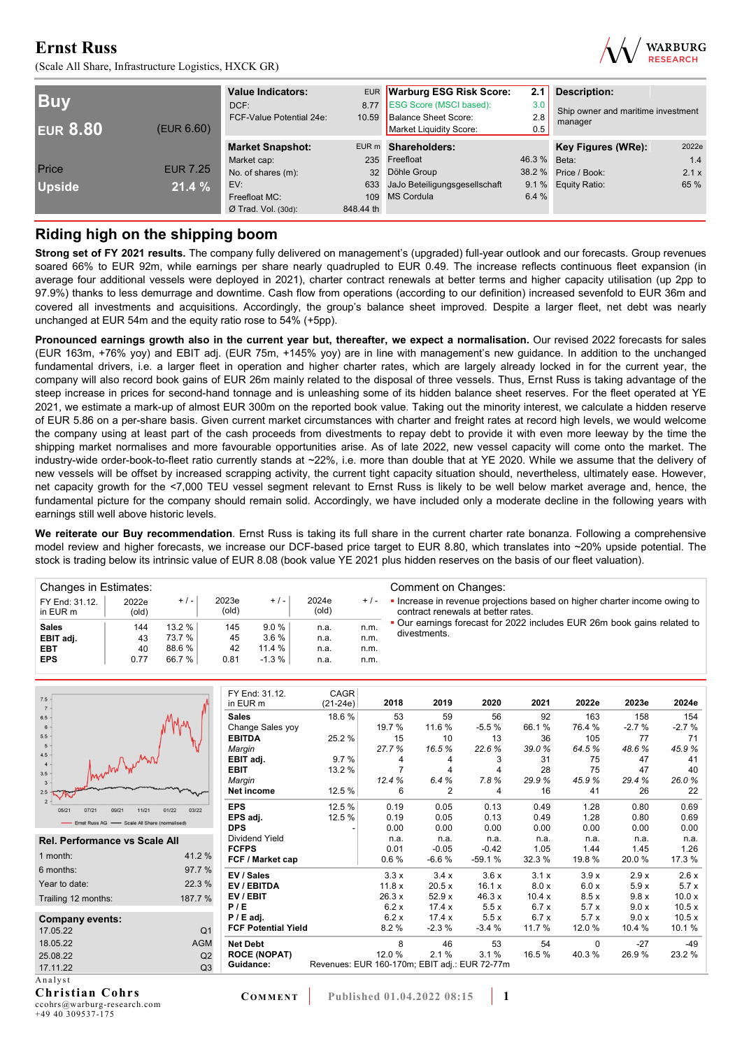(Scale All Share, Infrastructure Logistics, HXCK GR)



| <b>Buy</b><br><b>EUR 8.80</b><br>(EUR 6.60) |                 | <b>Value Indicators:</b><br>DCF:<br>FCF-Value Potential 24e: | 8.77<br>10.59   | EUR Warburg ESG Risk Score:<br><b>ESG Score (MSCI based):</b><br>Balance Sheet Score:<br>Market Liquidity Score: | 2.1<br>3.0<br>2.8<br>0.5 | <b>Description:</b><br>Ship owner and maritime investment<br>manager |       |  |
|---------------------------------------------|-----------------|--------------------------------------------------------------|-----------------|------------------------------------------------------------------------------------------------------------------|--------------------------|----------------------------------------------------------------------|-------|--|
|                                             |                 | <b>Market Snapshot:</b>                                      |                 | EUR m Shareholders:                                                                                              |                          | <b>Key Figures (WRe):</b>                                            | 2022e |  |
|                                             |                 | Market cap:                                                  |                 | 235 Freefloat                                                                                                    | 46.3 % Beta:             |                                                                      | 1.4   |  |
| Price                                       | <b>EUR 7.25</b> | No. of shares (m):                                           | 32 <sup>2</sup> | Döhle Group                                                                                                      |                          | 38.2 % Price / Book:                                                 | 2.1x  |  |
| <b>Upside</b>                               | 21.4%           | EV:                                                          |                 | 633 JaJo Beteiligungsgesellschaft                                                                                |                          | 9.1 % Equity Ratio:                                                  | 65 %  |  |
|                                             |                 | Freefloat MC:                                                |                 | 109 MS Cordula                                                                                                   | 6.4 %                    |                                                                      |       |  |
|                                             |                 | $Ø$ Trad. Vol. (30d):                                        | 848.44 th       |                                                                                                                  |                          |                                                                      |       |  |

## **Riding high on the shipping boom**

**Strong set of FY 2021 results.** The company fully delivered on management's (upgraded) full-year outlook and our forecasts. Group revenues soared 66% to EUR 92m, while earnings per share nearly quadrupled to EUR 0.49. The increase reflects continuous fleet expansion (in average four additional vessels were deployed in 2021), charter contract renewals at better terms and higher capacity utilisation (up 2pp to 97.9%) thanks to less demurrage and downtime. Cash flow from operations (according to our definition) increased sevenfold to EUR 36m and covered all investments and acquisitions. Accordingly, the group's balance sheet improved. Despite a larger fleet, net debt was nearly unchanged at EUR 54m and the equity ratio rose to 54% (+5pp).

**Pronounced earnings growth also in the current year but, thereafter, we expect a normalisation.** Our revised 2022 forecasts for sales (EUR 163m, +76% yoy) and EBIT adj. (EUR 75m, +145% yoy) are in line with management's new guidance. In addition to the unchanged fundamental drivers, i.e. a larger fleet in operation and higher charter rates, which are largely already locked in for the current year, the company will also record book gains of EUR 26m mainly related to the disposal of three vessels. Thus, Ernst Russ is taking advantage of the steep increase in prices for second-hand tonnage and is unleashing some of its hidden balance sheet reserves. For the fleet operated at YE 2021, we estimate a mark-up of almost EUR 300m on the reported book value. Taking out the minority interest, we calculate a hidden reserve of EUR 5.86 on a per-share basis. Given current market circumstances with charter and freight rates at record high levels, we would welcome the company using at least part of the cash proceeds from divestments to repay debt to provide it with even more leeway by the time the shipping market normalises and more favourable opportunities arise. As of late 2022, new vessel capacity will come onto the market. The industry-wide order-book-to-fleet ratio currently stands at ~22%, i.e. more than double that at YE 2020. While we assume that the delivery of new vessels will be offset by increased scrapping activity, the current tight capacity situation should, nevertheless, ultimately ease. However, net capacity growth for the <7,000 TEU vessel segment relevant to Ernst Russ is likely to be well below market average and, hence, the fundamental picture for the company should remain solid. Accordingly, we have included only a moderate decline in the following years with earnings still well above historic levels.

**We reiterate our Buy recommendation**. Ernst Russ is taking its full share in the current charter rate bonanza. Following a comprehensive model review and higher forecasts, we increase our DCF-based price target to EUR 8.80, which translates into ~20% upside potential. The stock is trading below its intrinsic value of EUR 8.08 (book value YE 2021 plus hidden reserves on the basis of our fleet valuation).

| Changes in Estimates:      |                |        |                |         |                |       | Comment on Changes:                                                                                           |
|----------------------------|----------------|--------|----------------|---------|----------------|-------|---------------------------------------------------------------------------------------------------------------|
| FY End: 31.12.<br>in EUR m | 2022e<br>(old) | $+/-$  | 2023e<br>(old) | $+/-$   | 2024e<br>(old) | $+/-$ | Increase in revenue projections based on higher charter income owing to<br>contract renewals at better rates. |
| <b>Sales</b>               | 144            | 13.2%  | 145            | 9.0%    | n.a.           | n.m.  | • Our earnings forecast for 2022 includes EUR 26m book gains related to                                       |
| EBIT adj.                  | 43             | 73.7 % | 45             | 3.6%    | n.a.           | n.m.  | divestments.                                                                                                  |
| <b>EBT</b>                 | 40             | 88.6 % | 42             | 11.4%   | n.a.           | n.m.  |                                                                                                               |
| <b>EPS</b>                 | 0.77           | 66.7 % | 0.81           | $-1.3%$ | n.a.           | n.m.  |                                                                                                               |

| $7.5 -$<br>$7 -$                               |                | FY End: 31.12.<br>in EUR m | CAGR<br>$(21-24e)$ | 2018                                          | 2019           | 2020     | 2021   | 2022e  | 2023e   | 2024e   |
|------------------------------------------------|----------------|----------------------------|--------------------|-----------------------------------------------|----------------|----------|--------|--------|---------|---------|
| 6.5                                            |                | <b>Sales</b>               | 18.6%              | 53                                            | 59             | 56       | 92     | 163    | 158     | 154     |
| 6                                              |                | Change Sales yoy           |                    | 19.7 %                                        | 11.6%          | $-5.5%$  | 66.1%  | 76.4 % | $-2.7%$ | $-2.7%$ |
| 5.5                                            |                | <b>EBITDA</b>              | 25.2%              | 15                                            | 10             | 13       | 36     | 105    | 77      | 71      |
| 5                                              |                | Margin                     |                    | 27.7%                                         | 16.5%          | 22.6%    | 39.0%  | 64.5%  | 48.6%   | 45.9%   |
| 4.5<br>Annun June                              |                | EBIT adj.                  | 9.7%               | 4                                             | 4              | 3        | 31     | 75     | 47      | 41      |
| $3.5 -$                                        |                | <b>EBIT</b>                | 13.2 %             |                                               |                | 4        | 28     | 75     | 47      | 40      |
| $3 -$                                          |                | Margin                     |                    | 12.4%                                         | 6.4%           | 7.8%     | 29.9%  | 45.9%  | 29.4%   | 26.0%   |
| $2.5 -$                                        |                | Net income                 | 12.5 %             | 6                                             | $\overline{2}$ | 4        | 16     | 41     | 26      | 22      |
| $2 -$<br>11/21<br>05/21<br>07/21<br>09/21      | 03/22<br>01/22 | <b>EPS</b>                 | 12.5 %             | 0.19                                          | 0.05           | 0.13     | 0.49   | 1.28   | 0.80    | 0.69    |
| - Ernst Russ AG - Scale All Share (normalised) |                | EPS adj.                   | 12.5 %             | 0.19                                          | 0.05           | 0.13     | 0.49   | 1.28   | 0.80    | 0.69    |
|                                                |                | <b>DPS</b>                 |                    | 0.00                                          | 0.00           | 0.00     | 0.00   | 0.00   | 0.00    | 0.00    |
| <b>Rel. Performance vs Scale All</b>           |                | Dividend Yield             |                    | n.a.                                          | n.a.           | n.a.     | n.a.   | n.a.   | n.a.    | n.a.    |
|                                                |                | <b>FCFPS</b>               |                    | 0.01                                          | $-0.05$        | $-0.42$  | 1.05   | 1.44   | 1.45    | 1.26    |
| 1 month:                                       | 41.2%          | FCF / Market cap           |                    | 0.6%                                          | $-6.6%$        | $-59.1%$ | 32.3%  | 19.8%  | 20.0%   | 17.3 %  |
| 6 months:                                      | 97.7 %         | EV / Sales                 |                    | 3.3x                                          | 3.4x           | 3.6x     | 3.1 x  | 3.9x   | 2.9x    | 2.6x    |
| Year to date:                                  | 22.3 %         | EV / EBITDA                |                    | 11.8x                                         | 20.5x          | 16.1 x   | 8.0 x  | 6.0 x  | 5.9x    | 5.7x    |
| Trailing 12 months:                            | 187.7 %        | EV / EBIT                  |                    | 26.3x                                         | 52.9 x         | 46.3x    | 10.4x  | 8.5x   | 9.8x    | 10.0 x  |
|                                                |                | P/E                        |                    | 6.2x                                          | 17.4 x         | 5.5x     | 6.7x   | 5.7x   | 9.0 x   | 10.5x   |
| <b>Company events:</b>                         |                | $P / E$ adj.               |                    | 6.2 x                                         | 17.4x          | 5.5x     | 6.7x   | 5.7x   | 9.0x    | 10.5x   |
| 17.05.22                                       | Q <sub>1</sub> | <b>FCF Potential Yield</b> |                    | 8.2%                                          | $-2.3%$        | $-3.4%$  | 11.7 % | 12.0%  | 10.4 %  | 10.1%   |
| 18.05.22                                       | <b>AGM</b>     | <b>Net Debt</b>            |                    | 8                                             | 46             | 53       | 54     | 0      | $-27$   | $-49$   |
| 25.08.22                                       | Q2             | <b>ROCE (NOPAT)</b>        |                    | 12.0%                                         | 2.1%           | 3.1%     | 16.5%  | 40.3%  | 26.9%   | 23.2 %  |
| 17.11.22                                       | Q <sub>3</sub> | Guidance:                  |                    | Revenues: EUR 160-170m; EBIT adj.: EUR 72-77m |                |          |        |        |         |         |
| Analyst                                        |                |                            |                    |                                               |                |          |        |        |         |         |
| $\sim$ $\sim$ $\sim$<br>$\sim$ $\sim$          |                |                            |                    |                                               |                |          |        |        |         |         |

**Christian Cohrs**  ccohrs@warburg-research.com +49 40 309537-175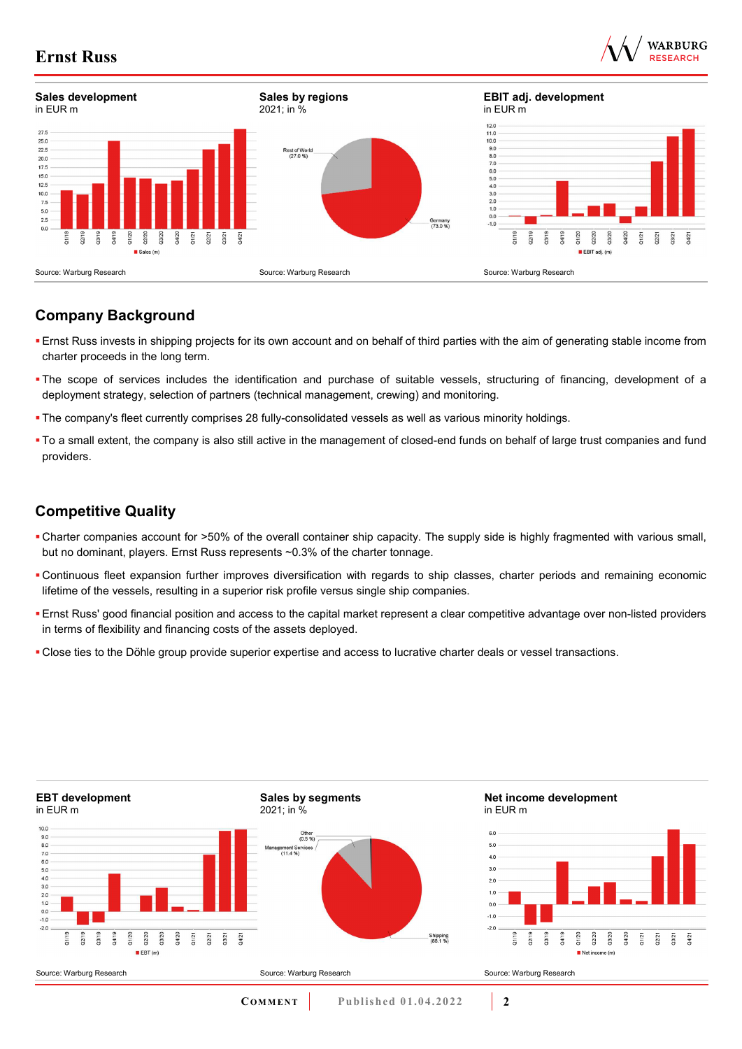



## **Company Background**

- Ernst Russ invests in shipping projects for its own account and on behalf of third parties with the aim of generating stable income from charter proceeds in the long term.
- The scope of services includes the identification and purchase of suitable vessels, structuring of financing, development of a deployment strategy, selection of partners (technical management, crewing) and monitoring.
- The company's fleet currently comprises 28 fully-consolidated vessels as well as various minority holdings.
- To a small extent, the company is also still active in the management of closed-end funds on behalf of large trust companies and fund providers.

## **Competitive Quality**

- Charter companies account for >50% of the overall container ship capacity. The supply side is highly fragmented with various small, but no dominant, players. Ernst Russ represents ~0.3% of the charter tonnage.
- Continuous fleet expansion further improves diversification with regards to ship classes, charter periods and remaining economic lifetime of the vessels, resulting in a superior risk profile versus single ship companies.
- Ernst Russ' good financial position and access to the capital market represent a clear competitive advantage over non-listed providers in terms of flexibility and financing costs of the assets deployed.
- Close ties to the Döhle group provide superior expertise and access to lucrative charter deals or vessel transactions.

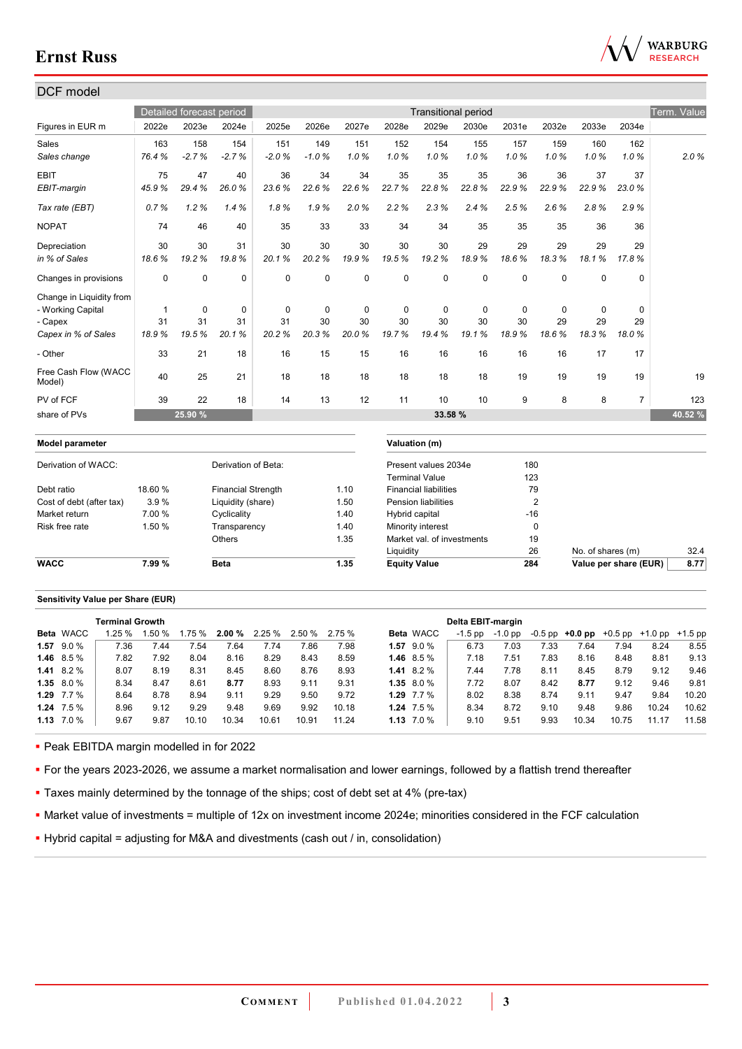

| DCF model                      |              |             |                           |             |           |             |                     |                              |                            |             |                |                       |                |             |
|--------------------------------|--------------|-------------|---------------------------|-------------|-----------|-------------|---------------------|------------------------------|----------------------------|-------------|----------------|-----------------------|----------------|-------------|
|                                |              |             | Detailed forecast period  |             |           |             |                     |                              | <b>Transitional period</b> |             |                |                       |                | Term. Value |
| Figures in EUR m               | 2022e        | 2023e       | 2024e                     | 2025e       | 2026e     | 2027e       | 2028e               | 2029e                        | 2030e                      | 2031e       | 2032e          | 2033e                 | 2034e          |             |
| Sales                          | 163          | 158         | 154                       | 151         | 149       | 151         | 152                 | 154                          | 155                        | 157         | 159            | 160                   | 162            |             |
| Sales change                   | 76.4%        | $-2.7%$     | $-2.7%$                   | $-2.0%$     | $-1.0%$   | 1.0%        | 1.0%                | 1.0%                         | 1.0%                       | 1.0%        | 1.0%           | 1.0%                  | 1.0%           | 2.0%        |
| <b>EBIT</b>                    | 75           | 47          | 40                        | 36          | 34        | 34          | 35                  | 35                           | 35                         | 36          | 36             | 37                    | 37             |             |
| EBIT-margin                    | 45.9%        | 29.4%       | 26.0%                     | 23.6%       | 22.6%     | 22.6%       | 22.7%               | 22.8%                        | 22.8%                      | 22.9%       | 22.9%          | 22.9%                 | 23.0%          |             |
| Tax rate (EBT)                 | 0.7%         | 1.2%        | 1.4%                      | 1.8%        | 1.9%      | 2.0%        | 2.2%                | 2.3%                         | 2.4%                       | 2.5%        | 2.6%           | 2.8%                  | 2.9%           |             |
| <b>NOPAT</b>                   | 74           | 46          | 40                        | 35          | 33        | 33          | 34                  | 34                           | 35                         | 35          | 35             | 36                    | 36             |             |
| Depreciation                   | 30           | 30          | 31                        | 30          | 30        | 30          | 30                  | 30                           | 29                         | 29          | 29             | 29                    | 29             |             |
| in % of Sales                  | 18.6%        | 19.2%       | 19.8%                     | 20.1%       | 20.2%     | 19.9%       | 19.5%               | 19.2%                        | 18.9%                      | 18.6%       | 18.3%          | 18.1%                 | 17.8%          |             |
| Changes in provisions          | $\mathbf 0$  | $\mathbf 0$ | $\mathbf 0$               | $\Omega$    | 0         | $\mathbf 0$ | $\mathbf 0$         | $\mathbf 0$                  | $\Omega$                   | $\mathbf 0$ | $\mathbf 0$    | $\mathbf 0$           | $\mathbf 0$    |             |
| Change in Liquidity from       |              |             |                           |             |           |             |                     |                              |                            |             |                |                       |                |             |
| - Working Capital              | $\mathbf{1}$ | $\mathbf 0$ | $\mathbf 0$               | $\mathbf 0$ | $\pmb{0}$ | $\mathbf 0$ | $\mathbf 0$         | $\mathbf 0$                  | $\mathbf 0$                | 0           | $\mathbf 0$    | $\mathbf 0$           | $\mathbf 0$    |             |
| - Capex                        | 31           | 31          | 31                        | 31          | 30        | 30          | 30                  | 30                           | 30                         | 30          | 29             | 29                    | 29             |             |
| Capex in % of Sales            | 18.9%        | 19.5%       | 20.1%                     | 20.2%       | 20.3%     | 20.0%       | 19.7%               | 19.4%                        | 19.1%                      | 18.9%       | 18.6%          | 18.3%                 | 18.0%          |             |
| - Other                        | 33           | 21          | 18                        | 16          | 15        | 15          | 16                  | 16                           | 16                         | 16          | 16             | 17                    | 17             |             |
| Free Cash Flow (WACC<br>Model) | 40           | 25          | 21                        | 18          | 18        | 18          | 18                  | 18                           | 18                         | 19          | 19             | 19                    | 19             | 19          |
| PV of FCF                      | 39           | 22          | 18                        | 14          | 13        | 12          | 11                  | 10                           | 10                         | 9           | 8              | 8                     | $\overline{7}$ | 123         |
| share of PVs                   |              | 25.90 %     |                           |             |           |             |                     | 33.58 %                      |                            |             |                |                       |                | 40.52 %     |
| Model parameter                |              |             |                           |             |           |             |                     | Valuation (m)                |                            |             |                |                       |                |             |
| Derivation of WACC:            |              |             | Derivation of Beta:       |             |           |             |                     | Present values 2034e         |                            | 180         |                |                       |                |             |
|                                |              |             |                           |             |           |             |                     | <b>Terminal Value</b>        |                            | 123         |                |                       |                |             |
| Debt ratio                     | 18.60 %      |             | <b>Financial Strength</b> |             |           | 1.10        |                     | <b>Financial liabilities</b> |                            |             | 79             |                       |                |             |
| Cost of debt (after tax)       | 3.9%         |             | Liquidity (share)         |             |           | 1.50        |                     | <b>Pension liabilities</b>   |                            |             | $\overline{2}$ |                       |                |             |
| Market return                  | 7.00 %       |             | Cyclicality               |             |           | 1.40        | Hybrid capital      |                              |                            |             | $-16$          |                       |                |             |
| Risk free rate                 | 1.50 %       |             | Transparency              |             |           | 1.40        |                     | Minority interest            |                            |             | $\mathbf 0$    |                       |                |             |
|                                |              |             | <b>Others</b>             |             |           | 1.35        |                     | Market val. of investments   |                            |             | 19             |                       |                |             |
|                                |              |             |                           |             |           |             | Liquidity           |                              |                            | 26          |                | No. of shares (m)     |                | 32.4        |
| <b>WACC</b>                    | 7.99%        |             | <b>Beta</b>               |             |           | 1.35        | <b>Equity Value</b> |                              |                            | 284         |                | Value per share (EUR) |                | 8.77        |
|                                |              |             |                           |             |           |             |                     |                              |                            |             |                |                       |                |             |

#### **Sensitivity Value per Share (EUR)**

|      |                  | <b>Terminal Growth</b> |       |       |       |                      |       |       |                  | Delta EBIT-margin |         |      |                                         |       |       |           |
|------|------------------|------------------------|-------|-------|-------|----------------------|-------|-------|------------------|-------------------|---------|------|-----------------------------------------|-------|-------|-----------|
|      | <b>Beta WACC</b> | 1.25 %                 | .50 % | .75 % |       | <b>2.00 %</b> 2.25 % | 2.50% | 2.75% | <b>Beta WACC</b> | $-1.5$ pp         | -1.0 pp |      | $-0.5$ pp $+0.0$ pp $+0.5$ pp $+1.0$ pp |       |       | $+1.5$ pp |
| 1.57 | 9.0%             | 7.36                   | 7.44  | 7.54  | 7.64  | 7.74                 | 7.86  | 7.98  | $1.57$ 9.0 %     | 6.73              | 7.03    | 7.33 | 7.64                                    | 7.94  | 8.24  | 8.55      |
|      | 1.46 $8.5\%$     | 7.82                   | 7.92  | 8.04  | 8.16  | 8.29                 | 8.43  | 8.59  | 1.46 $8.5\%$     | 7.18              | 7.51    | 7.83 | 8.16                                    | 8.48  | 8.81  | 9.13      |
|      | $1.41$ 8.2 %     | 8.07                   | 8.19  | 8.31  | 8.45  | 8.60                 | 8.76  | 8.93  | 1.41 $8.2\%$     | 7.44              | 7.78    | 8.11 | 8.45                                    | 8.79  | 9.12  | 9.46      |
|      | $1.35$ 8.0 %     | 8.34                   | 8.47  | 8.61  | 8.77  | 8.93                 | 9.11  | 9.31  | $1.35$ 8.0 %     | 7.72              | 8.07    | 8.42 | 8.77                                    | 9.12  | 9.46  | 9.81      |
|      | 1.29 $7.7\%$     | 8.64                   | 8.78  | 8.94  | 9.11  | 9.29                 | 9.50  | 9.72  | 1.29 $7.7\%$     | 8.02              | 8.38    | 8.74 | 9.11                                    | 9.47  | 9.84  | 10.20     |
|      | $1.24$ 7.5 %     | 8.96                   | 9.12  | 9.29  | 9.48  | 9.69                 | 9.92  | 10.18 | $1.24$ 7.5 %     | 8.34              | 8.72    | 9.10 | 9.48                                    | 9.86  | 10.24 | 10.62     |
|      | $1.13$ $7.0\%$   | 9.67                   | 9.87  | 10.10 | 10.34 | 10.61                | 10.91 | 11.24 | $1.13$ $7.0\%$   | 9.10              | 9.51    | 9.93 | 10.34                                   | 10.75 | 11.17 | 11.58     |

**Peak EBITDA margin modelled in for 2022** 

For the years 2023-2026, we assume a market normalisation and lower earnings, followed by a flattish trend thereafter

**Taxes mainly determined by the tonnage of the ships; cost of debt set at 4% (pre-tax)** 

Market value of investments = multiple of 12x on investment income 2024e; minorities considered in the FCF calculation

Hybrid capital = adjusting for M&A and divestments (cash out / in, consolidation)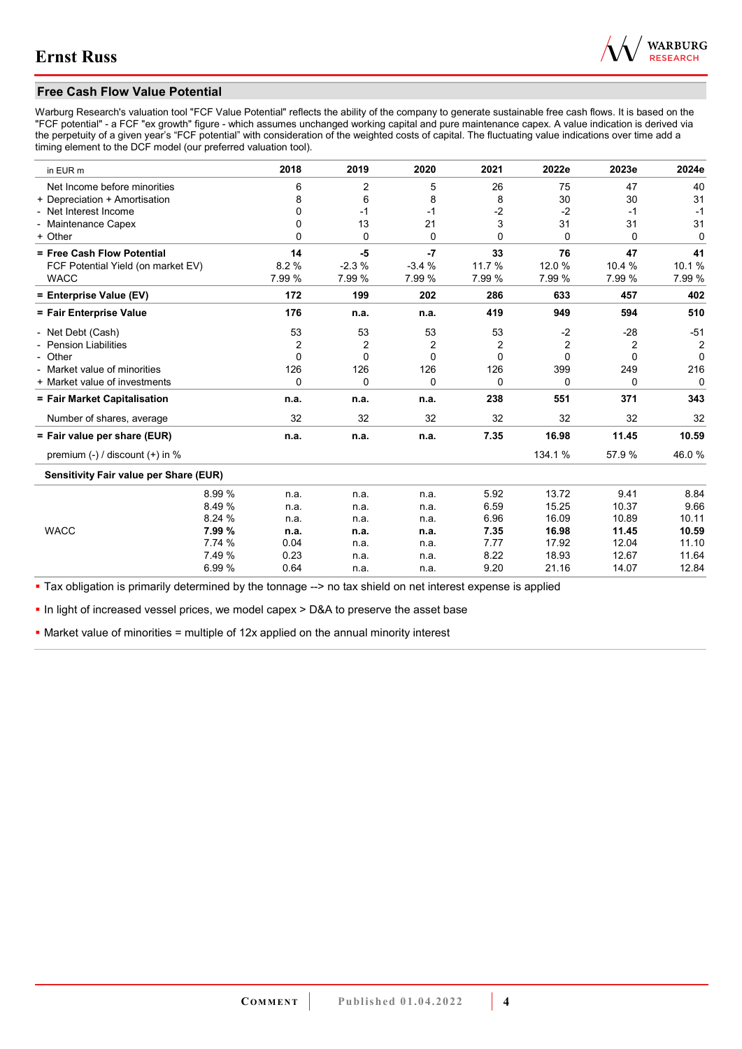

## **Free Cash Flow Value Potential**

Warburg Research's valuation tool "FCF Value Potential" reflects the ability of the company to generate sustainable free cash flows. It is based on the "FCF potential" - a FCF "ex growth" figure - which assumes unchanged working capital and pure maintenance capex. A value indication is derived via the perpetuity of a given year's "FCF potential" with consideration of the weighted costs of capital. The fluctuating value indications over time add a timing element to the DCF model (our preferred valuation tool).

| in EUR m                                      | 2018     | 2019     | 2020     | 2021     | 2022e          | 2023e    | 2024e          |
|-----------------------------------------------|----------|----------|----------|----------|----------------|----------|----------------|
| Net Income before minorities                  | 6        | 2        | 5        | 26       | 75             | 47       | 40             |
| + Depreciation + Amortisation                 | 8        | 6        | 8        | 8        | 30             | 30       | 31             |
| - Net Interest Income                         | 0        | $-1$     | $-1$     | $-2$     | $-2$           | $-1$     | $-1$           |
| - Maintenance Capex                           | 0        | 13       | 21       | 3        | 31             | 31       | 31             |
| + Other                                       | 0        | $\Omega$ | 0        | $\Omega$ | $\Omega$       | 0        | 0              |
| = Free Cash Flow Potential                    | 14       | -5       | -7       | 33       | 76             | 47       | 41             |
| FCF Potential Yield (on market EV)            | 8.2%     | $-2.3%$  | $-3.4%$  | 11.7 %   | 12.0%          | 10.4 %   | 10.1%          |
| <b>WACC</b>                                   | 7.99 %   | 7.99 %   | 7.99 %   | 7.99 %   | 7.99 %         | 7.99 %   | 7.99 %         |
| = Enterprise Value (EV)                       | 172      | 199      | 202      | 286      | 633            | 457      | 402            |
| = Fair Enterprise Value                       | 176      | n.a.     | n.a.     | 419      | 949            | 594      | 510            |
| - Net Debt (Cash)                             | 53       | 53       | 53       | 53       | $-2$           | $-28$    | $-51$          |
| <b>Pension Liabilities</b>                    | 2        | 2        | 2        | 2        | $\overline{2}$ | 2        | $\overline{2}$ |
| - Other                                       | $\Omega$ | $\Omega$ | $\Omega$ | $\Omega$ | $\Omega$       | $\Omega$ | $\Omega$       |
| - Market value of minorities                  | 126      | 126      | 126      | 126      | 399            | 249      | 216            |
| + Market value of investments                 | 0        | 0        | 0        | 0        | 0              | 0        | 0              |
| = Fair Market Capitalisation                  | n.a.     | n.a.     | n.a.     | 238      | 551            | 371      | 343            |
| Number of shares, average                     | 32       | 32       | 32       | 32       | 32             | 32       | 32             |
| = Fair value per share (EUR)                  | n.a.     | n.a.     | n.a.     | 7.35     | 16.98          | 11.45    | 10.59          |
| premium $(-)$ / discount $(+)$ in %           |          |          |          |          | 134.1 %        | 57.9 %   | 46.0%          |
| <b>Sensitivity Fair value per Share (EUR)</b> |          |          |          |          |                |          |                |
| 8.99 %                                        | n.a.     | n.a.     | n.a.     | 5.92     | 13.72          | 9.41     | 8.84           |
| 8.49%                                         | n.a.     | n.a.     | n.a.     | 6.59     | 15.25          | 10.37    | 9.66           |
| 8.24 %                                        | n.a.     | n.a.     | n.a.     | 6.96     | 16.09          | 10.89    | 10.11          |
| <b>WACC</b><br>7.99 %                         | n.a.     | n.a.     | n.a.     | 7.35     | 16.98          | 11.45    | 10.59          |
| 7.74 %                                        | 0.04     | n.a.     | n.a.     | 7.77     | 17.92          | 12.04    | 11.10          |
| 7.49 %                                        | 0.23     | n.a.     | n.a.     | 8.22     | 18.93          | 12.67    | 11.64          |
| 6.99%                                         | 0.64     | n.a.     | n.a.     | 9.20     | 21.16          | 14.07    | 12.84          |

Tax obligation is primarily determined by the tonnage --> no tax shield on net interest expense is applied

In light of increased vessel prices, we model capex > D&A to preserve the asset base

• Market value of minorities = multiple of 12x applied on the annual minority interest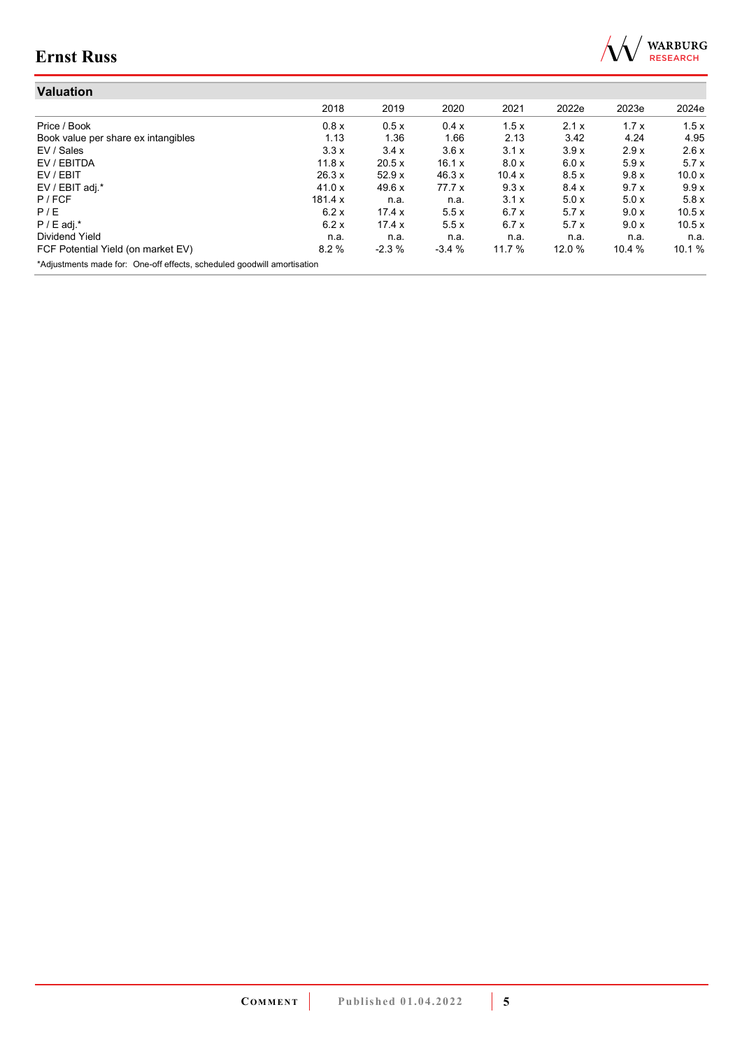

| <b>Valuation</b>                                                        |               |               |         |               |        |        |        |
|-------------------------------------------------------------------------|---------------|---------------|---------|---------------|--------|--------|--------|
|                                                                         | 2018          | 2019          | 2020    | 2021          | 2022e  | 2023e  | 2024e  |
| Price / Book                                                            | 0.8x          | 0.5x          | 0.4x    | 1.5x          | 2.1x   | 1.7x   | 1.5x   |
| Book value per share ex intangibles                                     | 1.13          | 1.36          | 1.66    | 2.13          | 3.42   | 4.24   | 4.95   |
| EV / Sales                                                              | 3.3x          | 3.4x          | 3.6x    | 3.1x          | 3.9x   | 2.9x   | 2.6x   |
| EV / EBITDA                                                             | 11.8 x        | 20.5 x        | 16.1 x  | 8.0 x         | 6.0 x  | 5.9x   | 5.7x   |
| EV / EBIT                                                               | 26.3 x        | 52.9x         | 46.3 x  | 10.4 $\times$ | 8.5x   | 9.8x   | 10.0x  |
| EV / EBIT adj.*                                                         | 41.0 $\times$ | 49.6x         | 77.7x   | 9.3x          | 8.4 x  | 9.7x   | 9.9x   |
| P / FCF                                                                 | 181.4 x       | n.a.          | n.a.    | 3.1x          | 5.0x   | 5.0x   | 5.8x   |
| P/E                                                                     | 6.2x          | 17.4 x        | 5.5x    | 6.7x          | 5.7x   | 9.0 x  | 10.5x  |
| $P / E$ adj.*                                                           | 6.2x          | 17.4 $\times$ | 5.5x    | 6.7x          | 5.7x   | 9.0 x  | 10.5 x |
| Dividend Yield                                                          | n.a.          | n.a.          | n.a.    | n.a.          | n.a.   | n.a.   | n.a.   |
| FCF Potential Yield (on market EV)                                      | 8.2%          | $-2.3%$       | $-3.4%$ | 11.7 %        | 12.0 % | 10.4 % | 10.1 % |
| *Adjustments made for: One-off effects, scheduled goodwill amortisation |               |               |         |               |        |        |        |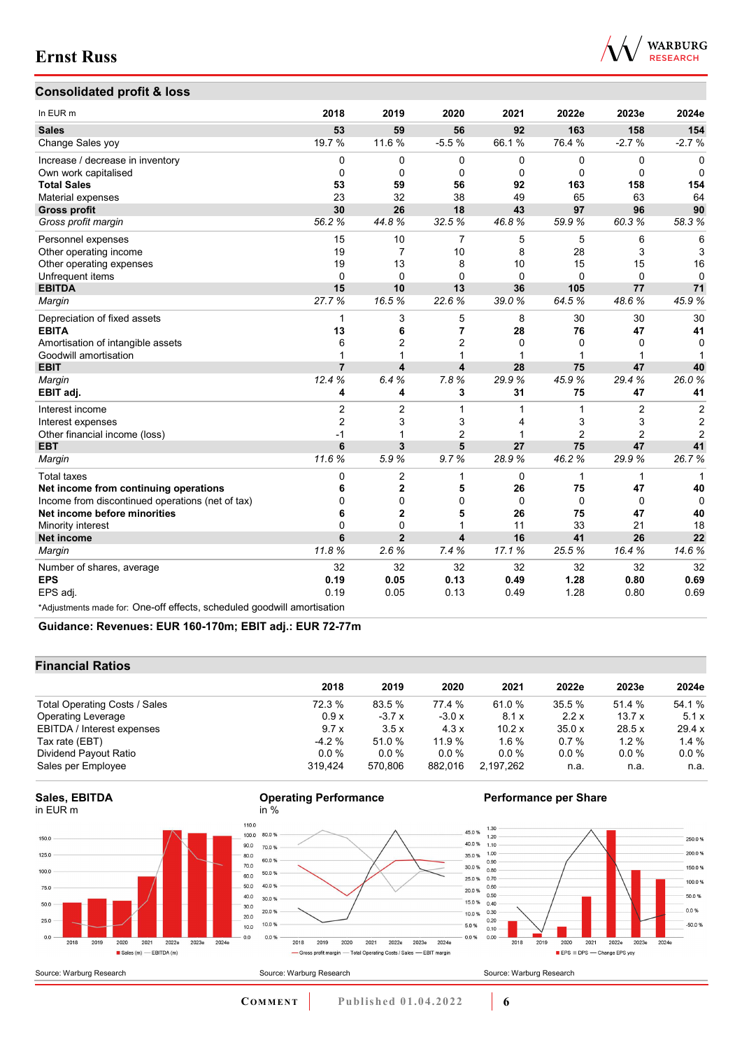

## **Consolidated profit & loss**

| In EUR <sub>m</sub>                                                     | 2018           | 2019                    | 2020                    | 2021         | 2022e          | 2023e          | 2024e          |
|-------------------------------------------------------------------------|----------------|-------------------------|-------------------------|--------------|----------------|----------------|----------------|
| <b>Sales</b>                                                            | 53             | 59                      | 56                      | 92           | 163            | 158            | 154            |
| Change Sales yoy                                                        | 19.7 %         | 11.6 %                  | $-5.5%$                 | 66.1%        | 76.4 %         | $-2.7%$        | $-2.7%$        |
| Increase / decrease in inventory                                        | 0              | 0                       | $\mathbf 0$             | 0            | 0              | $\mathbf 0$    | $\mathbf 0$    |
| Own work capitalised                                                    | 0              | $\mathbf 0$             | $\mathbf 0$             | 0            | 0              | 0              | 0              |
| <b>Total Sales</b>                                                      | 53             | 59                      | 56                      | 92           | 163            | 158            | 154            |
| Material expenses                                                       | 23             | 32                      | 38                      | 49           | 65             | 63             | 64             |
| <b>Gross profit</b>                                                     | 30             | 26                      | 18                      | 43           | 97             | 96             | 90             |
| Gross profit margin                                                     | 56.2%          | 44.8%                   | 32.5%                   | 46.8%        | 59.9%          | 60.3%          | 58.3%          |
| Personnel expenses                                                      | 15             | 10                      | $\overline{7}$          | 5            | 5              | 6              | 6              |
| Other operating income                                                  | 19             | 7                       | 10                      | 8            | 28             | 3              | 3              |
| Other operating expenses                                                | 19             | 13                      | 8                       | 10           | 15             | 15             | 16             |
| Unfrequent items                                                        | 0              | $\Omega$                | $\Omega$                | $\mathbf{0}$ | 0              | $\Omega$       | $\Omega$       |
| <b>EBITDA</b>                                                           | 15             | 10                      | 13                      | 36           | 105            | 77             | 71             |
| Margin                                                                  | 27.7%          | 16.5%                   | 22.6%                   | 39.0%        | 64.5%          | 48.6%          | 45.9%          |
| Depreciation of fixed assets                                            | 1              | 3                       | 5                       | 8            | 30             | 30             | 30             |
| <b>EBITA</b>                                                            | 13             | 6                       | $\overline{7}$          | 28           | 76             | 47             | 41             |
| Amortisation of intangible assets                                       | 6              | 2                       | $\overline{2}$          | $\mathbf{0}$ | $\Omega$       | $\mathbf{0}$   | $\Omega$       |
| Goodwill amortisation                                                   | $\mathbf 1$    | 1                       |                         |              |                | 1              |                |
| <b>EBIT</b>                                                             | $\overline{7}$ | $\overline{\mathbf{4}}$ | $\overline{\mathbf{4}}$ | 28           | 75             | 47             | 40             |
| Margin                                                                  | 12.4%          | 6.4%                    | 7.8%                    | 29.9%        | 45.9%          | 29.4%          | 26.0%          |
| EBIT adj.                                                               | 4              | 4                       | 3                       | 31           | 75             | 47             | 41             |
| Interest income                                                         | $\overline{2}$ | $\overline{2}$          | 1                       | 1            | 1              | $\overline{2}$ | $\overline{2}$ |
| Interest expenses                                                       | $\overline{2}$ | 3                       | 3                       | 4            | 3              | 3              | $\overline{2}$ |
| Other financial income (loss)                                           | $-1$           | 1                       | $\overline{2}$          | 1            | $\overline{2}$ | $\overline{2}$ | $\overline{2}$ |
| <b>EBT</b>                                                              | 6              | 3                       | 5                       | 27           | 75             | 47             | 41             |
| Margin                                                                  | 11.6%          | 5.9%                    | 9.7%                    | 28.9%        | 46.2%          | 29.9%          | 26.7%          |
| <b>Total taxes</b>                                                      | 0              | $\overline{2}$          | $\mathbf 1$             | 0            | $\mathbf{1}$   | $\mathbf{1}$   | 1              |
| Net income from continuing operations                                   | 6              | $\overline{2}$          | 5                       | 26           | 75             | 47             | 40             |
| Income from discontinued operations (net of tax)                        | 0              | $\Omega$                | $\mathbf{0}$            | $\Omega$     | $\Omega$       | $\Omega$       | $\Omega$       |
| Net income before minorities                                            | 6              | $\overline{2}$          | 5                       | 26           | 75             | 47             | 40             |
| Minority interest                                                       | 0              | 0                       | 1                       | 11           | 33             | 21             | 18             |
| Net income                                                              | 6              | $\overline{2}$          | 4                       | 16           | 41             | 26             | 22             |
| Margin                                                                  | 11.8%          | 2.6%                    | 7.4%                    | 17.1%        | 25.5%          | 16.4%          | 14.6%          |
| Number of shares, average                                               | 32             | 32                      | 32                      | 32           | 32             | 32             | 32             |
| <b>EPS</b>                                                              | 0.19           | 0.05                    | 0.13                    | 0.49         | 1.28           | 0.80           | 0.69           |
| EPS adj.                                                                | 0.19           | 0.05                    | 0.13                    | 0.49         | 1.28           | 0.80           | 0.69           |
| *Adjustments made for: One-off effects, scheduled goodwill amortisation |                |                         |                         |              |                |                |                |

**Guidance: Revenues: EUR 160-170m; EBIT adj.: EUR 72-77m**

### **Financial Ratios**

| 2020<br>2022e<br>2021<br>2023e<br>2024e             |
|-----------------------------------------------------|
| 54.1 %<br>77.4 %<br>61.0%<br>35.5 %<br>51.4 %       |
| 2.2x<br>13.7x<br>5.1x<br>$-3.0x$<br>8.1x            |
| 10.2x<br>35.0x<br>28.5x<br>29.4 x<br>4.3x           |
| $1.4\%$<br>11.9 %<br>$1.6\%$<br>0.7%<br>1.2%        |
| $0.0\%$<br>$0.0\%$<br>$0.0\%$<br>$0.0\%$<br>$0.0\%$ |
| 882,016<br>2,197,262<br>n.a.<br>n.a.<br>n.a.        |
|                                                     |

2018 2019 2020 2021 2022e 2023e 2024e

- Gross profit margin - Total Operating Costs / Sales - EBIT margin



Source: Warburg Research





### **Performance per Share**



Source: Warburg Research

10.0%

0.0%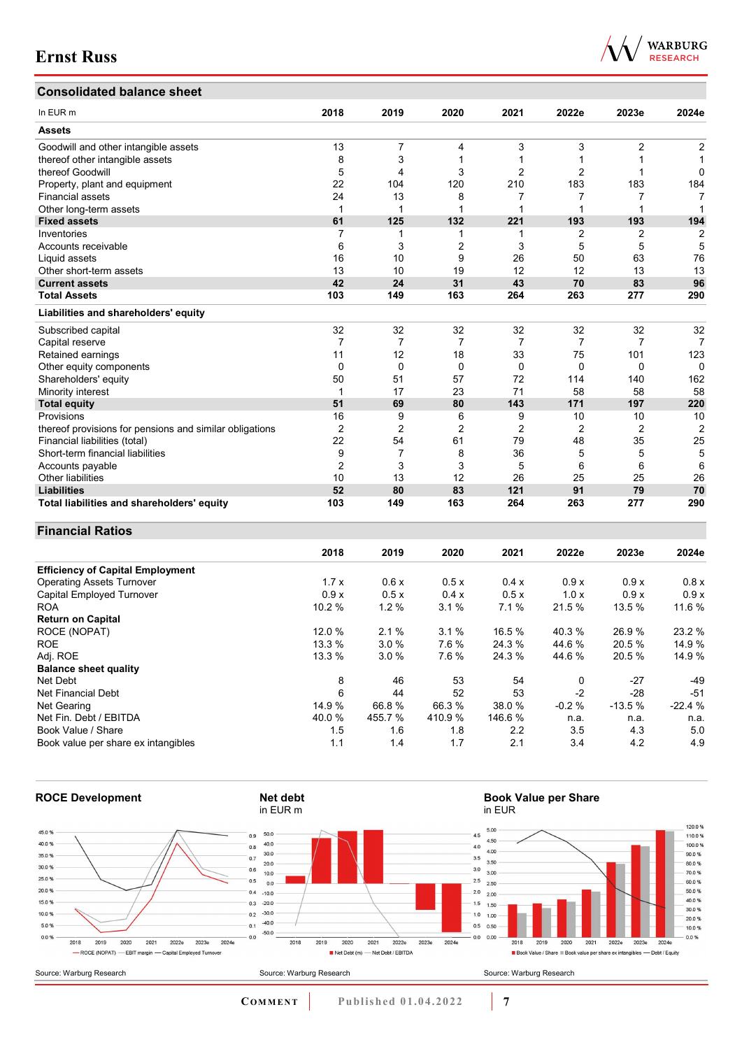## **Consolidated balance sheet**

| In EUR <sub>m</sub>                                     | 2018           | 2019           | 2020           | 2021           | 2022e          | 2023e          | 2024e          |
|---------------------------------------------------------|----------------|----------------|----------------|----------------|----------------|----------------|----------------|
| <b>Assets</b>                                           |                |                |                |                |                |                |                |
| Goodwill and other intangible assets                    | 13             | 7              | 4              | 3              | 3              | 2              | 2              |
| thereof other intangible assets                         | 8              | 3              |                |                |                |                |                |
| thereof Goodwill                                        | 5              | 4              | 3              | 2              | $\overline{2}$ |                | 0              |
| Property, plant and equipment                           | 22             | 104            | 120            | 210            | 183            | 183            | 184            |
| <b>Financial assets</b>                                 | 24             | 13             | 8              | 7              | 7              |                | 7              |
| Other long-term assets                                  | 1              |                |                | 1              |                |                |                |
| <b>Fixed assets</b>                                     | 61             | 125            | 132            | 221            | 193            | 193            | 194            |
| Inventories                                             | 7              |                |                | 1              | 2              | 2              | 2              |
| Accounts receivable                                     | 6              | 3              | 2              | 3              | 5              | 5              | 5              |
| Liquid assets                                           | 16             | 10             | 9              | 26             | 50             | 63             | 76             |
| Other short-term assets                                 | 13             | 10             | 19             | 12             | 12             | 13             | 13             |
| <b>Current assets</b>                                   | 42             | 24             | 31             | 43             | 70             | 83             | 96             |
| <b>Total Assets</b>                                     | 103            | 149            | 163            | 264            | 263            | 277            | 290            |
| Liabilities and shareholders' equity                    |                |                |                |                |                |                |                |
| Subscribed capital                                      | 32             | 32             | 32             | 32             | 32             | 32             | 32             |
| Capital reserve                                         | 7              | 7              | 7              | 7              | 7              | 7              | 7              |
| Retained earnings                                       | 11             | 12             | 18             | 33             | 75             | 101            | 123            |
| Other equity components                                 | 0              | 0              | 0              | 0              | 0              | $\Omega$       | $\Omega$       |
| Shareholders' equity                                    | 50             | 51             | 57             | 72             | 114            | 140            | 162            |
| Minority interest                                       | 1              | 17             | 23             | 71             | 58             | 58             | 58             |
| <b>Total equity</b>                                     | 51             | 69             | 80             | 143            | 171            | 197            | 220            |
| Provisions                                              | 16             | 9              | 6              | 9              | 10             | 10             | 10             |
| thereof provisions for pensions and similar obligations | $\overline{2}$ | $\overline{2}$ | $\overline{2}$ | $\overline{2}$ | $\overline{2}$ | $\overline{2}$ | $\overline{2}$ |
| Financial liabilities (total)                           | 22             | 54             | 61             | 79             | 48             | 35             | 25             |
| Short-term financial liabilities                        | 9              | 7              | 8              | 36             | 5              | 5              | 5              |
| Accounts payable                                        | 2              | 3              | 3              | 5              | 6              | 6              | 6              |
| Other liabilities                                       | 10             | 13             | 12             | 26             | 25             | 25             | 26             |
| <b>Liabilities</b>                                      | 52             | 80             | 83             | 121            | 91             | 79             | 70             |
| Total liabilities and shareholders' equity              | 103            | 149            | 163            | 264            | 263            | 277            | 290            |

### **Financial Ratios**

|                                         | 2018   | 2019    | 2020   | 2021    | 2022e   | 2023e    | 2024e    |
|-----------------------------------------|--------|---------|--------|---------|---------|----------|----------|
| <b>Efficiency of Capital Employment</b> |        |         |        |         |         |          |          |
| <b>Operating Assets Turnover</b>        | 1.7x   | 0.6x    | 0.5x   | 0.4x    | 0.9x    | 0.9x     | 0.8x     |
| Capital Employed Turnover               | 0.9x   | 0.5x    | 0.4x   | 0.5x    | 1.0x    | 0.9x     | 0.9x     |
| <b>ROA</b>                              | 10.2 % | 1.2%    | 3.1%   | 7.1%    | 21.5 %  | 13.5 %   | 11.6 %   |
| <b>Return on Capital</b>                |        |         |        |         |         |          |          |
| ROCE (NOPAT)                            | 12.0 % | 2.1%    | 3.1%   | 16.5 %  | 40.3 %  | 26.9%    | 23.2 %   |
| <b>ROE</b>                              | 13.3 % | 3.0%    | 7.6%   | 24.3 %  | 44.6 %  | 20.5 %   | 14.9 %   |
| Adj. ROE                                | 13.3%  | 3.0%    | 7.6 %  | 24.3 %  | 44.6 %  | 20.5 %   | 14.9 %   |
| <b>Balance sheet quality</b>            |        |         |        |         |         |          |          |
| Net Debt                                | 8      | 46      | 53     | 54      | 0       | -27      | $-49$    |
| Net Financial Debt                      | 6      | 44      | 52     | 53      | $-2$    | $-28$    | $-51$    |
| Net Gearing                             | 14.9 % | 66.8%   | 66.3%  | 38.0 %  | $-0.2%$ | $-13.5%$ | $-22.4%$ |
| Net Fin. Debt / EBITDA                  | 40.0%  | 455.7 % | 410.9% | 146.6 % | n.a.    | n.a.     | n.a.     |
| Book Value / Share                      | 1.5    | 1.6     | 1.8    | 2.2     | 3.5     | 4.3      | 5.0      |
| Book value per share ex intangibles     | 1.1    | 1.4     | 1.7    | 2.1     | 3.4     | 4.2      | 4.9      |



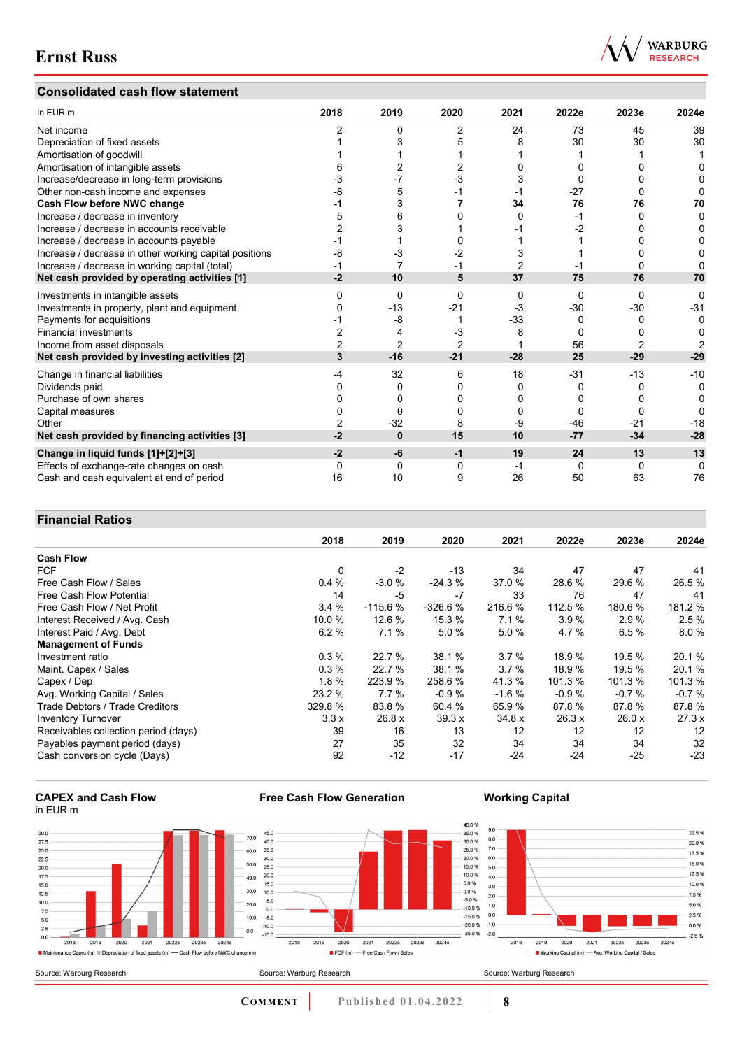### **Consolidated cash flow statement**



| In EUR m                                               | 2018 | 2019     | 2020           | 2021           | 2022e    | 2023e | 2024e |
|--------------------------------------------------------|------|----------|----------------|----------------|----------|-------|-------|
| Net income                                             |      | 0        | 2              | 24             | 73       | 45    | 39    |
| Depreciation of fixed assets                           |      |          |                |                | 30       | 30    | 30    |
| Amortisation of goodwill                               |      |          |                |                |          |       |       |
| Amortisation of intangible assets                      |      |          |                |                |          |       |       |
| Increase/decrease in long-term provisions              |      |          | -3             |                |          |       |       |
| Other non-cash income and expenses                     | -8   | 5        | -1             |                | $-27$    |       |       |
| Cash Flow before NWC change                            |      | 3        |                | 34             | 76       | 76    | 70    |
| Increase / decrease in inventory                       |      |          |                | 0              | -1       | 0     |       |
| Increase / decrease in accounts receivable             |      |          |                |                | -2       |       |       |
| Increase / decrease in accounts payable                |      |          |                |                |          |       |       |
| Increase / decrease in other working capital positions | -8   | -3       | -2             | 3              |          |       |       |
| Increase / decrease in working capital (total)         |      | 7        |                | $\overline{2}$ |          |       |       |
| Net cash provided by operating activities [1]          | $-2$ | 10       | 5              | 37             | 75       | 76    | 70    |
| Investments in intangible assets                       | U    | $\Omega$ | $\Omega$       | 0              | $\Omega$ | 0     | 0     |
| Investments in property, plant and equipment           |      | $-13$    | $-21$          | $-3$           | $-30$    | -30   | $-31$ |
| Payments for acquisitions                              |      | -8       |                | $-33$          | 0        |       | 0     |
| <b>Financial investments</b>                           |      | 4        | -3             | 8              | 0        |       |       |
| Income from asset disposals                            |      | 2        | $\overline{2}$ |                | 56       |       |       |
| Net cash provided by investing activities [2]          | 3    | $-16$    | $-21$          | $-28$          | 25       | $-29$ | $-29$ |
| Change in financial liabilities                        | -4   | 32       | 6              | 18             | $-31$    | $-13$ | $-10$ |
| Dividends paid                                         |      |          | 0              | 0              | 0        |       | 0     |
| Purchase of own shares                                 |      |          | 0              | 0              | O        |       |       |
| Capital measures                                       |      | O        |                |                | O        |       |       |
| Other                                                  |      | $-32$    | 8              | -9             | $-46$    | $-21$ | $-18$ |
| Net cash provided by financing activities [3]          | -2   | $\bf{0}$ | 15             | 10             | $-77$    | $-34$ | $-28$ |
| Change in liquid funds [1]+[2]+[3]                     | $-2$ | -6       | $-1$           | 19             | 24       | 13    | 13    |
| Effects of exchange-rate changes on cash               |      | 0        | 0              | -1             | 0        | 0     | O     |
| Cash and cash equivalent at end of period              | 16   | 10       | 9              | 26             | 50       | 63    | 76    |

### **Financial Ratios**

| T THANGH INANO                         |          |           |           |         |         |         |         |
|----------------------------------------|----------|-----------|-----------|---------|---------|---------|---------|
|                                        | 2018     | 2019      | 2020      | 2021    | 2022e   | 2023e   | 2024e   |
| <b>Cash Flow</b>                       |          |           |           |         |         |         |         |
| <b>FCF</b>                             | $\Omega$ | $-2$      | $-13$     | 34      | 47      | 47      | 41      |
| Free Cash Flow / Sales                 | 0.4%     | $-3.0%$   | $-24.3%$  | 37.0 %  | 28.6 %  | 29.6 %  | 26.5%   |
| Free Cash Flow Potential               | 14       | -5        | $-7$      | 33      | 76      | 47      | 41      |
| Free Cash Flow / Net Profit            | 3.4%     | $-115.6%$ | $-326.6%$ | 216.6 % | 112.5 % | 180.6%  | 181.2 % |
| Interest Received / Avg. Cash          | 10.0%    | 12.6 %    | 15.3 %    | 7.1%    | 3.9%    | 2.9%    | 2.5%    |
| Interest Paid / Avg. Debt              | 6.2%     | 7.1%      | 5.0%      | 5.0%    | 4.7 %   | 6.5%    | 8.0%    |
| <b>Management of Funds</b>             |          |           |           |         |         |         |         |
| Investment ratio                       | 0.3%     | 22.7 %    | 38.1 %    | 3.7%    | 18.9 %  | 19.5 %  | 20.1 %  |
| Maint. Capex / Sales                   | 0.3%     | 22.7 %    | 38.1 %    | 3.7%    | 18.9 %  | 19.5 %  | 20.1 %  |
| Capex / Dep                            | 1.8%     | 223.9 %   | 258.6 %   | 41.3 %  | 101.3 % | 101.3%  | 101.3%  |
| Avg. Working Capital / Sales           | 23.2 %   | 7.7%      | $-0.9%$   | $-1.6%$ | $-0.9%$ | $-0.7%$ | $-0.7%$ |
| <b>Trade Debtors / Trade Creditors</b> | 329.8 %  | 83.8 %    | 60.4 %    | 65.9 %  | 87.8%   | 87.8%   | 87.8%   |
| <b>Inventory Turnover</b>              | 3.3x     | 26.8 x    | 39.3x     | 34.8x   | 26.3x   | 26.0x   | 27.3x   |
| Receivables collection period (days)   | 39       | 16        | 13        | 12      | 12      | 12      | 12      |
| Payables payment period (days)         | 27       | 35        | 32        | 34      | 34      | 34      | 32      |
| Cash conversion cycle (Days)           | 92       | $-12$     | $-17$     | $-24$   | $-24$   | $-25$   | $-23$   |

### **CAPEX and Cash Flow** in EUR m



**Free Cash Flow Generation**

**Working Capital**

22.5 %

20.0%

17.5 %

15.0 %

12.5 %

10.0%

7.5%

5.0%

 $2.5%$ 

 $-0.0%$ 

 $-2.5%$ 

2024e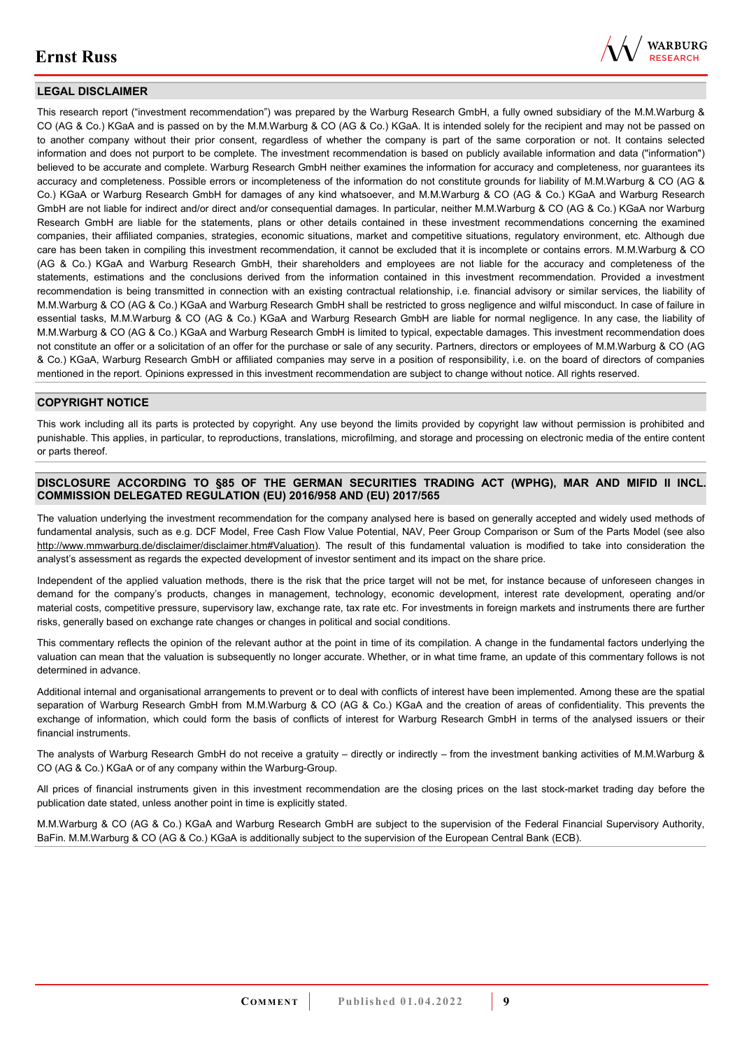

### **LEGAL DISCLAIMER**

This research report ("investment recommendation") was prepared by the Warburg Research GmbH, a fully owned subsidiary of the M.M.Warburg & CO (AG & Co.) KGaA and is passed on by the M.M.Warburg & CO (AG & Co.) KGaA. It is intended solely for the recipient and may not be passed on to another company without their prior consent, regardless of whether the company is part of the same corporation or not. It contains selected information and does not purport to be complete. The investment recommendation is based on publicly available information and data ("information") believed to be accurate and complete. Warburg Research GmbH neither examines the information for accuracy and completeness, nor guarantees its accuracy and completeness. Possible errors or incompleteness of the information do not constitute grounds for liability of M.M.Warburg & CO (AG & Co.) KGaA or Warburg Research GmbH for damages of any kind whatsoever, and M.M.Warburg & CO (AG & Co.) KGaA and Warburg Research GmbH are not liable for indirect and/or direct and/or consequential damages. In particular, neither M.M.Warburg & CO (AG & Co.) KGaA nor Warburg Research GmbH are liable for the statements, plans or other details contained in these investment recommendations concerning the examined companies, their affiliated companies, strategies, economic situations, market and competitive situations, regulatory environment, etc. Although due care has been taken in compiling this investment recommendation, it cannot be excluded that it is incomplete or contains errors. M.M.Warburg & CO (AG & Co.) KGaA and Warburg Research GmbH, their shareholders and employees are not liable for the accuracy and completeness of the statements, estimations and the conclusions derived from the information contained in this investment recommendation. Provided a investment recommendation is being transmitted in connection with an existing contractual relationship, i.e. financial advisory or similar services, the liability of M.M.Warburg & CO (AG & Co.) KGaA and Warburg Research GmbH shall be restricted to gross negligence and wilful misconduct. In case of failure in essential tasks, M.M.Warburg & CO (AG & Co.) KGaA and Warburg Research GmbH are liable for normal negligence. In any case, the liability of M.M.Warburg & CO (AG & Co.) KGaA and Warburg Research GmbH is limited to typical, expectable damages. This investment recommendation does not constitute an offer or a solicitation of an offer for the purchase or sale of any security. Partners, directors or employees of M.M.Warburg & CO (AG & Co.) KGaA, Warburg Research GmbH or affiliated companies may serve in a position of responsibility, i.e. on the board of directors of companies mentioned in the report. Opinions expressed in this investment recommendation are subject to change without notice. All rights reserved.

### **COPYRIGHT NOTICE**

This work including all its parts is protected by copyright. Any use beyond the limits provided by copyright law without permission is prohibited and punishable. This applies, in particular, to reproductions, translations, microfilming, and storage and processing on electronic media of the entire content or parts thereof.

### **DISCLOSURE ACCORDING TO §85 OF THE GERMAN SECURITIES TRADING ACT (WPHG), MAR AND MIFID II INCL. COMMISSION DELEGATED REGULATION (EU) 2016/958 AND (EU) 2017/565**

The valuation underlying the investment recommendation for the company analysed here is based on generally accepted and widely used methods of fundamental analysis, such as e.g. DCF Model, Free Cash Flow Value Potential, NAV, Peer Group Comparison or Sum of the Parts Model (see also [http://www.mmwarburg.de/disclaimer/disclaimer.htm#Valuation\)](http://www.mmwarburg.de/disclaimer/disclaimer.htm#Valuation). The result of this fundamental valuation is modified to take into consideration the analyst's assessment as regards the expected development of investor sentiment and its impact on the share price.

Independent of the applied valuation methods, there is the risk that the price target will not be met, for instance because of unforeseen changes in demand for the company's products, changes in management, technology, economic development, interest rate development, operating and/or material costs, competitive pressure, supervisory law, exchange rate, tax rate etc. For investments in foreign markets and instruments there are further risks, generally based on exchange rate changes or changes in political and social conditions.

This commentary reflects the opinion of the relevant author at the point in time of its compilation. A change in the fundamental factors underlying the valuation can mean that the valuation is subsequently no longer accurate. Whether, or in what time frame, an update of this commentary follows is not determined in advance.

Additional internal and organisational arrangements to prevent or to deal with conflicts of interest have been implemented. Among these are the spatial separation of Warburg Research GmbH from M.M.Warburg & CO (AG & Co.) KGaA and the creation of areas of confidentiality. This prevents the exchange of information, which could form the basis of conflicts of interest for Warburg Research GmbH in terms of the analysed issuers or their financial instruments.

The analysts of Warburg Research GmbH do not receive a gratuity – directly or indirectly – from the investment banking activities of M.M.Warburg & CO (AG & Co.) KGaA or of any company within the Warburg-Group.

All prices of financial instruments given in this investment recommendation are the closing prices on the last stock-market trading day before the publication date stated, unless another point in time is explicitly stated.

M.M.Warburg & CO (AG & Co.) KGaA and Warburg Research GmbH are subject to the supervision of the Federal Financial Supervisory Authority, BaFin. M.M.Warburg & CO (AG & Co.) KGaA is additionally subject to the supervision of the European Central Bank (ECB).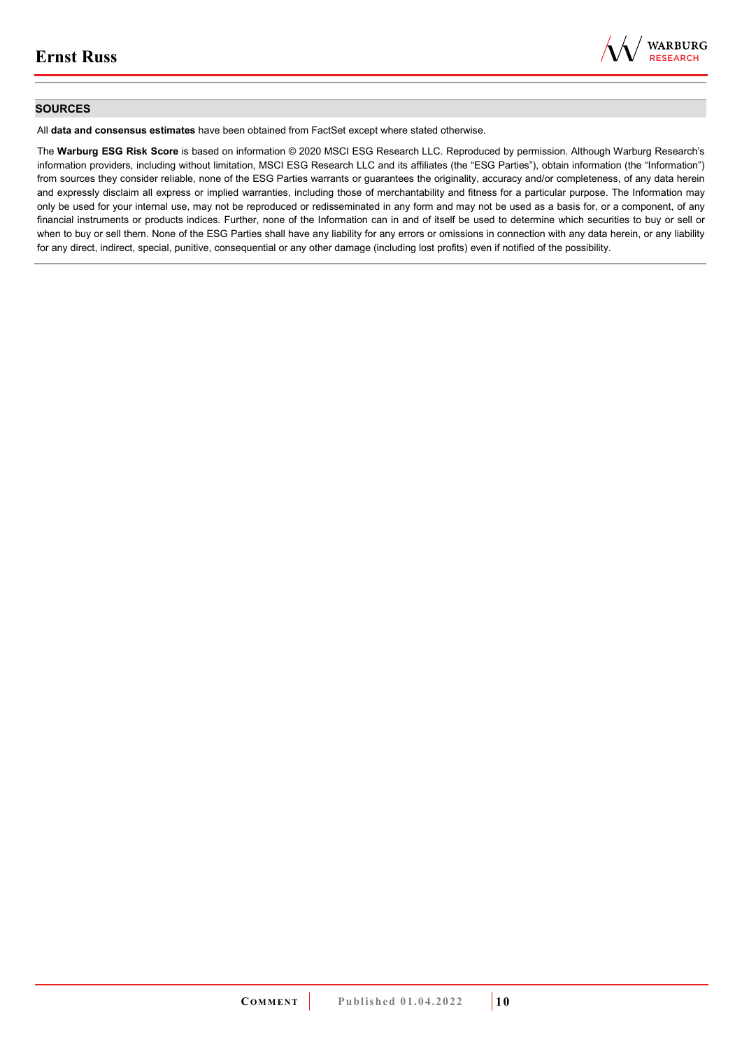

### **SOURCES**

All **data and consensus estimates** have been obtained from FactSet except where stated otherwise.

The **Warburg ESG Risk Score** is based on information © 2020 MSCI ESG Research LLC. Reproduced by permission. Although Warburg Research's information providers, including without limitation, MSCI ESG Research LLC and its affiliates (the "ESG Parties"), obtain information (the "Information") from sources they consider reliable, none of the ESG Parties warrants or guarantees the originality, accuracy and/or completeness, of any data herein and expressly disclaim all express or implied warranties, including those of merchantability and fitness for a particular purpose. The Information may only be used for your internal use, may not be reproduced or redisseminated in any form and may not be used as a basis for, or a component, of any financial instruments or products indices. Further, none of the Information can in and of itself be used to determine which securities to buy or sell or when to buy or sell them. None of the ESG Parties shall have any liability for any errors or omissions in connection with any data herein, or any liability for any direct, indirect, special, punitive, consequential or any other damage (including lost profits) even if notified of the possibility.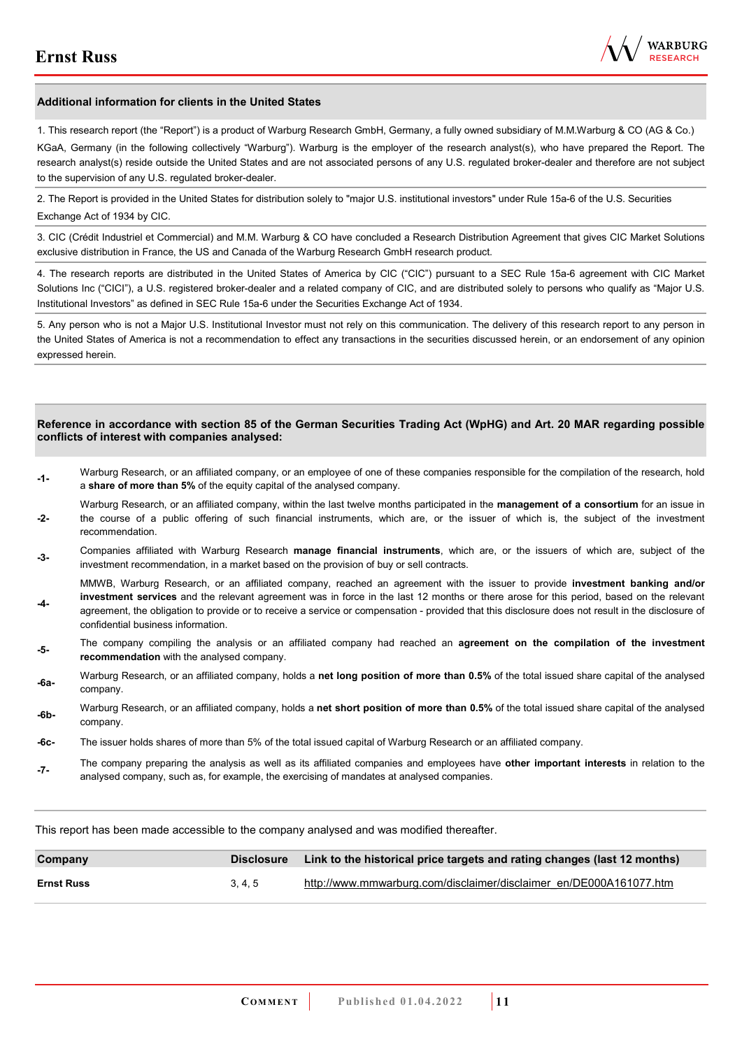

### **Additional information for clients in the United States**

1. This research report (the "Report") is a product of Warburg Research GmbH, Germany, a fully owned subsidiary of M.M.Warburg & CO (AG & Co.)

KGaA, Germany (in the following collectively "Warburg"). Warburg is the employer of the research analyst(s), who have prepared the Report. The research analyst(s) reside outside the United States and are not associated persons of any U.S. regulated broker-dealer and therefore are not subject to the supervision of any U.S. regulated broker-dealer.

2. The Report is provided in the United States for distribution solely to "major U.S. institutional investors" under Rule 15a-6 of the U.S. Securities Exchange Act of 1934 by CIC.

3. CIC (Crédit Industriel et Commercial) and M.M. Warburg & CO have concluded a Research Distribution Agreement that gives CIC Market Solutions exclusive distribution in France, the US and Canada of the Warburg Research GmbH research product.

4. The research reports are distributed in the United States of America by CIC ("CIC") pursuant to a SEC Rule 15a-6 agreement with CIC Market Solutions Inc ("CICI"), a U.S. registered broker-dealer and a related company of CIC, and are distributed solely to persons who qualify as "Major U.S. Institutional Investors" as defined in SEC Rule 15a-6 under the Securities Exchange Act of 1934.

5. Any person who is not a Major U.S. Institutional Investor must not rely on this communication. The delivery of this research report to any person in the United States of America is not a recommendation to effect any transactions in the securities discussed herein, or an endorsement of any opinion expressed herein.

#### **Reference in accordance with section 85 of the German Securities Trading Act (WpHG) and Art. 20 MAR regarding possible conflicts of interest with companies analysed:**

- **-1-** Warburg Research, or an affiliated company, or an employee of one of these companies responsible for the compilation of the research, hold a **share of more than 5%** of the equity capital of the analysed company.
- **-2-**  Warburg Research, or an affiliated company, within the last twelve months participated in the **management of a consortium** for an issue in the course of a public offering of such financial instruments, which are, or the issuer of which is, the subject of the investment recommendation.
- **-3-** Companies affiliated with Warburg Research **manage financial instruments**, which are, or the issuers of which are, subject of the investment recommendation, in a market based on the provision of buy or sell contracts.

MMWB, Warburg Research, or an affiliated company, reached an agreement with the issuer to provide **investment banking and/or investment services** and the relevant agreement was in force in the last 12 months or there arose for this period, based on the relevant

- **-4**  agreement, the obligation to provide or to receive a service or compensation - provided that this disclosure does not result in the disclosure of confidential business information.
- **-5-** The company compiling the analysis or an affiliated company had reached an **agreement on the compilation of the investment recommendation** with the analysed company.
- **-6a-** Warburg Research, or an affiliated company, holds a **net long position of more than 0.5%** of the total issued share capital of the analysed company.
- **-6b-** Warburg Research, or an affiliated company, holds a **net short position of more than 0.5%** of the total issued share capital of the analysed company.
- **-6c-** The issuer holds shares of more than 5% of the total issued capital of Warburg Research or an affiliated company.
- **-7-** The company preparing the analysis as well as its affiliated companies and employees have **other important interests** in relation to the analysed company, such as, for example, the exercising of mandates at analysed companies.

This report has been made accessible to the company analysed and was modified thereafter.

| Company           | <b>Disclosure</b> | Link to the historical price targets and rating changes (last 12 months) |
|-------------------|-------------------|--------------------------------------------------------------------------|
| <b>Ernst Russ</b> | 3.4.5             | http://www.mmwarburg.com/disclaimer/disclaimer_en/DE000A161077.htm       |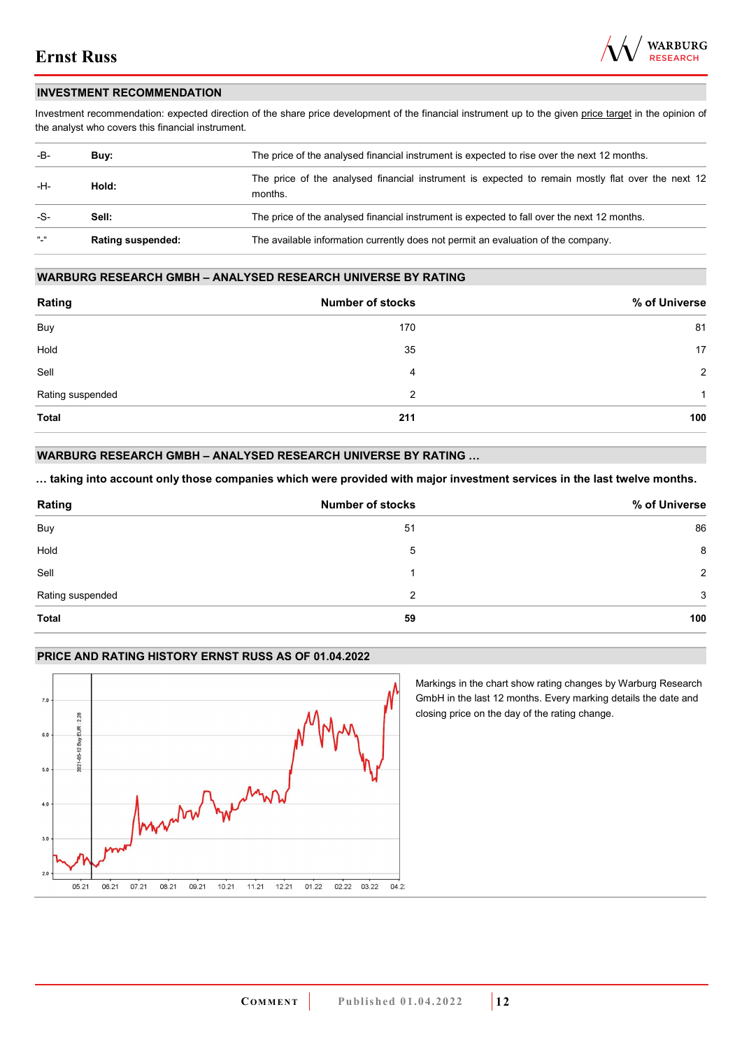

### **INVESTMENT RECOMMENDATION**

Investment recommendation: expected direction of the share price development of the financial instrument up to the given price target in the opinion of the analyst who covers this financial instrument.

| -B-           | Buy:                     | The price of the analysed financial instrument is expected to rise over the next 12 months.                  |  |  |
|---------------|--------------------------|--------------------------------------------------------------------------------------------------------------|--|--|
| -H-           | Hold:                    | The price of the analysed financial instrument is expected to remain mostly flat over the next 12<br>months. |  |  |
| -S-           | Sell:                    | The price of the analysed financial instrument is expected to fall over the next 12 months.                  |  |  |
| $\frac{1}{2}$ | <b>Rating suspended:</b> | The available information currently does not permit an evaluation of the company.                            |  |  |

### **WARBURG RESEARCH GMBH – ANALYSED RESEARCH UNIVERSE BY RATING**

| Rating           | <b>Number of stocks</b> | % of Universe  |
|------------------|-------------------------|----------------|
| Buy              | 170                     | 81             |
| Hold             | 35                      | 17             |
| Sell             | 4                       | $\overline{2}$ |
| Rating suspended | 2                       | 1              |
| <b>Total</b>     | 211                     | 100            |

### **WARBURG RESEARCH GMBH – ANALYSED RESEARCH UNIVERSE BY RATING …**

**… taking into account only those companies which were provided with major investment services in the last twelve months.** 

| Rating           | <b>Number of stocks</b> | % of Universe |
|------------------|-------------------------|---------------|
| Buy              | 51                      | 86            |
| Hold             | 5                       | 8             |
| Sell             |                         | 2             |
| Rating suspended | 2                       | 3             |
| <b>Total</b>     | 59                      | 100           |

### **PRICE AND RATING HISTORY ERNST RUSS AS OF 01.04.2022**



Markings in the chart show rating changes by Warburg Research GmbH in the last 12 months. Every marking details the date and closing price on the day of the rating change.